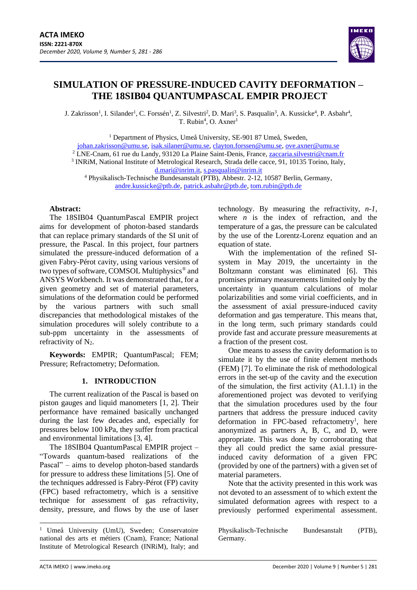

# **SIMULATION OF PRESSURE-INDUCED CAVITY DEFORMATION – THE 18SIB04 QUANTUMPASCAL EMPIR PROJECT**

J. Zakrisson<sup>1</sup>, I. Silander<sup>1</sup>, C. Forssén<sup>1</sup>, Z. Silvestri<sup>2</sup>, D. Mari<sup>3</sup>, S. Pasqualin<sup>3</sup>, A. Kussicke<sup>4</sup>, P. Asbahr<sup>4</sup>,  $T.$  Rubin<sup>4</sup>, O. Axner<sup>1</sup>

<sup>1</sup> Department of Physics, Umeå University, SE-901 87 Umeå, Sweden,

[johan.zakrisson@umu.se,](mailto:johan.zakrisson@umu.se) [isak.silaner@umu.se,](mailto:isak.silaner@umu.se) [clayton.forssen@umu.se,](mailto:clayton.forssen@umu.se) [ove.axner@umu.se](mailto:ove.axner@umu.se)

<sup>2</sup> LNE-Cnam, 61 rue du Landy, 93120 La Plaine Saint-Denis, France, <u>zaccaria.silvestri@cnam.fr</u>

<sup>3</sup> INRiM, National Institute of Metrological Research, Strada delle cacce, 91, 10135 Torino, Italy, [d.mari@inrim.it,](mailto:d.mari@inrim.it) [s.pasqualin@inrim.it](mailto:s.pasqualin@inrim.it)

<sup>4</sup> Physikalisch-Technische Bundesanstalt (PTB), Abbestr. 2-12, 10587 Berlin, Germany, [andre.kussicke@ptb.de,](mailto:andre.kussicke@ptb.de) [patrick.asbahr@ptb.de,](mailto:patrick.asbahr@ptb.de) [tom.rubin@ptb.de](mailto:tom.rubin@ptb.de)

### **Abstract:**

The 18SIB04 QuantumPascal EMPIR project aims for development of photon-based standards that can replace primary standards of the SI unit of pressure, the Pascal. In this project, four partners simulated the pressure-induced deformation of a given Fabry-Pérot cavity, using various versions of two types of software, COMSOL Multiphysics® and ANSYS Workbench. It was demonstrated that, for a given geometry and set of material parameters, simulations of the deformation could be performed by the various partners with such small discrepancies that methodological mistakes of the simulation procedures will solely contribute to a sub-ppm uncertainty in the assessments of refractivity of  $N_2$ .

**Keywords:** EMPIR; QuantumPascal; FEM; Pressure; Refractometry; Deformation.

## **1. INTRODUCTION**

The current realization of the Pascal is based on piston gauges and liquid manometers [1, 2]. Their performance have remained basically unchanged during the last few decades and, especially for pressures below 100 kPa, they suffer from practical and environmental limitations [3, 4].

The 18SIB04 QuantumPascal EMPIR project – "Towards quantum-based realizations of the Pascal" – aims to develop photon-based standards for pressure to address these limitations [5]. One of the techniques addressed is Fabry-Pérot (FP) cavity (FPC) based refractometry, which is a sensitive technique for assessment of gas refractivity, density, pressure, and flows by the use of laser technology. By measuring the refractivity, *n-1*, where  $\overline{n}$  is the index of refraction, and the temperature of a gas, the pressure can be calculated by the use of the Lorentz-Lorenz equation and an equation of state.

With the implementation of the refined SIsystem in May 2019, the uncertainty in the Boltzmann constant was eliminated [6]. This promises primary measurements limited only by the uncertainty in quantum calculations of molar polarizabilities and some virial coefficients, and in the assessment of axial pressure-induced cavity deformation and gas temperature. This means that, in the long term, such primary standards could provide fast and accurate pressure measurements at a fraction of the present cost.

One means to assess the cavity deformation is to simulate it by the use of finite element methods (FEM) [7]. To eliminate the risk of methodological errors in the set-up of the cavity and the execution of the simulation, the first activity (A1.1.1) in the aforementioned project was devoted to verifying that the simulation procedures used by the four partners that address the pressure induced cavity deformation in FPC-based refractometry<sup>1</sup>, here anonymized as partners A, B, C, and D, were appropriate. This was done by corroborating that they all could predict the same axial pressureinduced cavity deformation of a given FPC (provided by one of the partners) with a given set of material parameters.

Note that the activity presented in this work was not devoted to an assessment of to which extent the simulated deformation agrees with respect to a previously performed experimental assessment.

Physikalisch-Technische Bundesanstalt (PTB), Germany.

<sup>&</sup>lt;sup>1</sup> Umeå University (UmU), Sweden; Conservatoire national des arts et métiers (Cnam), France; National Institute of Metrological Research (INRiM), Italy; and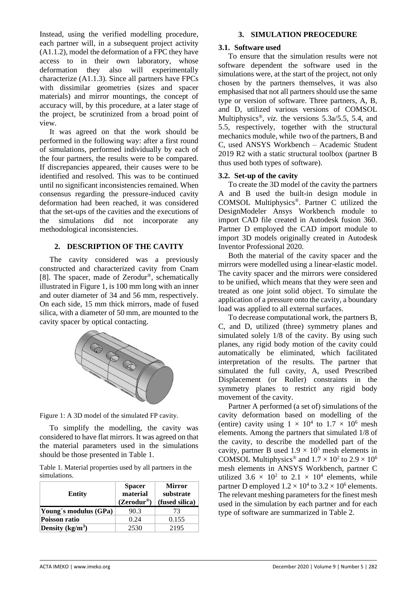Instead, using the verified modelling procedure, each partner will, in a subsequent project activity (A1.1.2), model the deformation of a FPC they have access to in their own laboratory, whose deformation they also will experimentally characterize (A1.1.3). Since all partners have FPCs with dissimilar geometries (sizes and spacer materials) and mirror mountings, the concept of accuracy will, by this procedure, at a later stage of the project, be scrutinized from a broad point of view.

It was agreed on that the work should be performed in the following way: after a first round of simulations, performed individually by each of the four partners, the results were to be compared. If discrepancies appeared, their causes were to be identified and resolved. This was to be continued until no significant inconsistencies remained. When consensus regarding the pressure-induced cavity deformation had been reached, it was considered that the set-ups of the cavities and the executions of the simulations did not incorporate any methodological inconsistencies.

## **2. DESCRIPTION OF THE CAVITY**

The cavity considered was a previously constructed and characterized cavity from Cnam [8]. The spacer, made of Zerodur®, schematically illustrated in [Figure 1,](#page-1-0) is 100 mm long with an inner and outer diameter of 34 and 56 mm, respectively. On each side, 15 mm thick mirrors, made of fused silica, with a diameter of 50 mm, are mounted to the cavity spacer by optical contacting.



<span id="page-1-0"></span>Figure 1: A 3D model of the simulated FP cavity.

To simplify the modelling, the cavity was considered to have flat mirrors. It was agreed on that the material parameters used in the simulations should be those presented in Table 1.

Table 1. Material properties used by all partners in the simulations.

| <b>Entity</b>         | <b>Spacer</b><br>material<br>$(Zerodur^@)$ | <b>Mirror</b><br>substrate<br>(fused silica) |
|-----------------------|--------------------------------------------|----------------------------------------------|
| Young's modulus (GPa) | 90.3                                       | 73                                           |
| Poisson ratio         | 0.24                                       | 0.155                                        |
| Density $(kg/m^3)$    | 2530                                       | 2195                                         |

## **3. SIMULATION PREOCEDURE**

### **3.1. Software used**

To ensure that the simulation results were not software dependent the software used in the simulations were, at the start of the project, not only chosen by the partners themselves, it was also emphasised that not all partners should use the same type or version of software. Three partners, A, B, and D, utilized various versions of COMSOL Multiphysics®, *viz.* the versions 5.3a/5.5, 5.4, and 5.5, respectively, together with the structural mechanics module, while two of the partners, B and C, used ANSYS Workbench – Academic Student 2019 R2 with a static structural toolbox (partner B thus used both types of software).

## **3.2. Set-up of the cavity**

To create the 3D model of the cavity the partners A and B used the built-in design module in COMSOL Multiphysics®. Partner C utilized the DesignModeler Ansys Workbench module to import CAD file created in Autodesk fusion 360. Partner D employed the CAD import module to import 3D models originally created in Autodesk Inventor Professional 2020.

Both the material of the cavity spacer and the mirrors were modelled using a linear-elastic model. The cavity spacer and the mirrors were considered to be unified, which means that they were seen and treated as one joint solid object. To simulate the application of a pressure onto the cavity, a boundary load was applied to all external surfaces.

To decrease computational work, the partners B, C, and D, utilized (three) symmetry planes and simulated solely 1/8 of the cavity. By using such planes, any rigid body motion of the cavity could automatically be eliminated, which facilitated interpretation of the results. The partner that simulated the full cavity, A, used Prescribed Displacement (or Roller) constraints in the symmetry planes to restrict any rigid body movement of the cavity.

Partner A performed (a set of) simulations of the cavity deformation based on modelling of the (entire) cavity using  $1 \times 10^4$  to  $1.7 \times 10^6$  mesh elements. Among the partners that simulated 1/8 of the cavity, to describe the modelled part of the cavity, partner B used  $1.9 \times 10^5$  mesh elements in COMSOL Multiphysics<sup>®</sup> and  $1.7 \times 10^2$  to  $2.9 \times 10^6$ mesh elements in ANSYS Workbench, partner C utilized 3.6  $\times$  10<sup>2</sup> to 2.1  $\times$  10<sup>4</sup> elements, while partner D employed  $1.2 \times 10^4$  to  $3.2 \times 10^6$  elements. The relevant meshing parameters for the finest mesh used in the simulation by each partner and for each type of software are summarized in Table 2.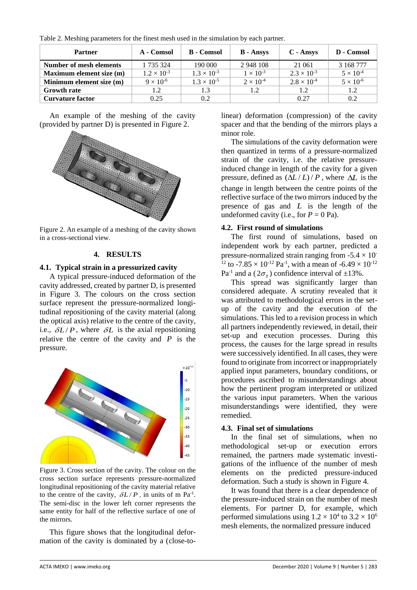| Table 2. Meshing parameters for the finest mesh used in the simulation by each partner. |  |  |  |
|-----------------------------------------------------------------------------------------|--|--|--|
|-----------------------------------------------------------------------------------------|--|--|--|

| <b>Partner</b>           | A - Comsol           | <b>B</b> - Comsol    | <b>B</b> - Ansys   | $C - \Lambda$ nsys   | D - Comsol         |
|--------------------------|----------------------|----------------------|--------------------|----------------------|--------------------|
| Number of mesh elements  | 1 735 324            | 190 000              | 2 948 108          | 21 061               | 3 168 777          |
| Maximum element size (m) | $1.2 \times 10^{-3}$ | $1.3 \times 10^{-3}$ | $1 \times 10^{-3}$ | $2.3 \times 10^{-3}$ | $5 \times 10^{-4}$ |
| Minimum element size (m) | $9 \times 10^{-6}$   | $1.3 \times 10^{-5}$ | $2 \times 10^{-4}$ | $2.8 \times 10^{-4}$ | $5 \times 10^{-6}$ |
| <b>Growth rate</b>       | 1.2                  | 1.3                  | 1.2                | 1.2                  | 1.2                |
| <b>Curvature factor</b>  | 0.25                 | 0.2                  |                    | 0.27                 | 0.2                |

An example of the meshing of the cavity (provided by partner D) is presented in [Figure 2.](#page-2-0)



<span id="page-2-0"></span>Figure 2. An example of a meshing of the cavity shown in a cross-sectional view.

## **4. RESULTS**

#### **4.1. Typical strain in a pressurized cavity**

A typical pressure-induced deformation of the cavity addressed, created by partner D, is presented in [Figure 3.](#page-2-1) The colours on the cross section surface represent the pressure-normalized longitudinal repositioning of the cavity material (along the optical axis) relative to the centre of the cavity, i.e.,  $\delta L/P$ , where  $\delta L$  is the axial repositioning relative the centre of the cavity and  $P$  is the pressure.



<span id="page-2-1"></span>Figure 3. Cross section of the cavity. The colour on the cross section surface represents pressure-normalized longitudinal repositioning of the cavity material relative to the centre of the cavity,  $\delta L/P$ , in units of m Pa<sup>-1</sup>. The semi-disc in the lower left corner represents the same entity for half of the reflective surface of one of the mirrors.

This figure shows that the longitudinal deformation of the cavity is dominated by a (close-tolinear) deformation (compression) of the cavity spacer and that the bending of the mirrors plays a minor role.

The simulations of the cavity deformation were then quantized in terms of a pressure-normalized strain of the cavity, i.e. the relative pressureinduced change in length of the cavity for a given pressure, defined as  $(\Delta L / L) / P$ , where  $\Delta L$  is the change in length between the centre points of the reflective surface of the two mirrors induced by the presence of gas and  $L$  is the length of the undeformed cavity (i.e., for  $P = 0$  Pa).

#### **4.2. First round of simulations**

The first round of simulations, based on independent work by each partner, predicted a pressure-normalized strain ranging from  $-5.4 \times 10^{-7}$ <sup>12</sup> to -7.85  $\times$  10<sup>-12</sup> Pa<sup>-1</sup>, with a mean of -6.49  $\times$  10<sup>-12</sup> Pa<sup>-1</sup> and a ( $2\sigma_{\overline{x}}$ ) confidence interval of  $\pm 13\%$ .

This spread was significantly larger than considered adequate. A scrutiny revealed that it was attributed to methodological errors in the setup of the cavity and the execution of the simulations. This led to a revision process in which all partners independently reviewed, in detail, their set-up and execution processes. During this process, the causes for the large spread in results were successively identified. In all cases, they were found to originate from incorrect or inappropriately applied input parameters, boundary conditions, or procedures ascribed to misunderstandings about how the pertinent program interpreted or utilized the various input parameters. When the various misunderstandings were identified, they were remedied.

#### **4.3. Final set of simulations**

In the final set of simulations, when no methodological set-up or execution errors remained, the partners made systematic investigations of the influence of the number of mesh elements on the predicted pressure-induced deformation. Such a study is shown in [Figure 4.](#page-3-0)

It was found that there is a clear dependence of the pressure-induced strain on the number of mesh elements. For partner D, for example, which performed simulations using  $1.2 \times 10^4$  to  $3.2 \times 10^6$ mesh elements, the normalized pressure induced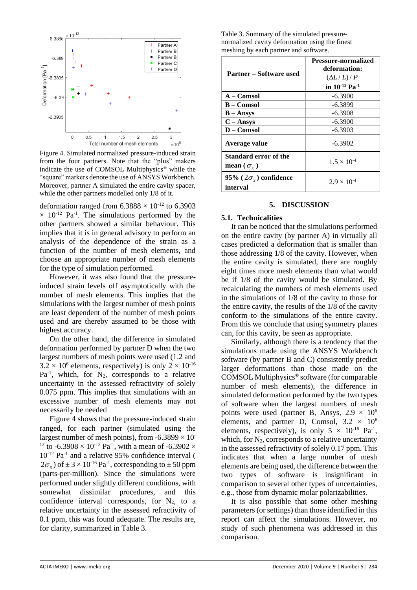

<span id="page-3-0"></span>Figure 4. Simulated normalized pressure-induced strain from the four partners. Note that the "plus" makers indicate the use of COMSOL Multiphysics® while the "square" markers denote the use of ANSYS Workbench. Moreover, partner A simulated the entire cavity spacer, while the other partners modelled only 1/8 of it.

deformation ranged from  $6.3888 \times 10^{-12}$  to  $6.3903$  $\times$  10<sup>-12</sup> Pa<sup>-1</sup>. The simulations performed by the other partners showed a similar behaviour. This implies that it is in general advisory to perform an analysis of the dependence of the strain as a function of the number of mesh elements, and choose an appropriate number of mesh elements for the type of simulation performed.

However, it was also found that the pressureinduced strain levels off asymptotically with the number of mesh elements. This implies that the simulations with the largest number of mesh points are least dependent of the number of mesh points used and are thereby assumed to be those with highest accuracy.

On the other hand, the difference in simulated deformation performed by partner D when the two largest numbers of mesh points were used (1.2 and  $3.2 \times 10^6$  elements, respectively) is only  $2 \times 10^{16}$  $Pa^{-1}$ , which, for  $N_2$ , corresponds to a relative uncertainty in the assessed refractivity of solely 0.075 ppm. This implies that simulations with an excessive number of mesh elements may not necessarily be needed

[Figure 4](#page-3-0) shows that the pressure-induced strain ranged, for each partner (simulated using the largest number of mesh points), from -6.3899  $\times$  10<sup>-1</sup> <sup>12</sup> to -6.3908  $\times$  10<sup>-12</sup> Pa<sup>-1</sup>, with a mean of -6.3902  $\times$  $10^{-12}$  Pa<sup>-1</sup> and a relative 95% confidence interval (  $(2\sigma_{\overline{x}})$  of  $\pm 3 \times 10^{-16}$  Pa<sup>-1</sup>, corresponding to  $\pm 50$  ppm (parts-per-million). Since the simulations were performed under slightly different conditions, with somewhat dissimilar procedures, and this confidence interval corresponds, for  $N_2$ , to a relative uncertainty in the assessed refractivity of 0.1 ppm, this was found adequate. The results are, for clarity, summarized in [Table 3.](#page-3-1)

<span id="page-3-1"></span>Table 3. Summary of the simulated pressurenormalized cavity deformation using the finest meshing by each partner and software.

| <b>Partner – Software used</b>                                   | <b>Pressure-normalized</b><br>deformation:<br>$(\Delta L/L)/P$<br>in $10^{12}$ Pa <sup>-1</sup> |
|------------------------------------------------------------------|-------------------------------------------------------------------------------------------------|
| $A - Comsol$                                                     | $-6.3900$                                                                                       |
| <b>B</b> – Comsol                                                | $-6.3899$                                                                                       |
| $B - \text{Answers}$                                             | $-6.3908$                                                                                       |
| $C - \text{Answers}$                                             | $-6.3900$                                                                                       |
| $D - Comsol$                                                     | $-6.3903$                                                                                       |
| Average value                                                    | $-6.3902$                                                                                       |
| <b>Standard error of the</b><br>mean ( $\sigma_{\overline{r}}$ ) | $1.5 \times 10^{-4}$                                                                            |
| 95% ( $2\sigma_{\overline{x}}$ ) confidence<br>interval          | $2.9 \times 10^{-4}$                                                                            |

## **5. DISCUSSION**

## **5.1. Technicalities**

It can be noticed that the simulations performed on the entire cavity (by partner A) in virtually all cases predicted a deformation that is smaller than those addressing 1/8 of the cavity. However, when the entire cavity is simulated, there are roughly eight times more mesh elements than what would be if 1/8 of the cavity would be simulated. By recalculating the numbers of mesh elements used in the simulations of 1/8 of the cavity to those for the entire cavity, the results of the 1/8 of the cavity conform to the simulations of the entire cavity. From this we conclude that using symmetry planes can, for this cavity, be seen as appropriate.

Similarly, although there is a tendency that the simulations made using the ANSYS Workbench software (by partner B and C) consistently predict larger deformations than those made on the COMSOL Multiphysics® software (for comparable number of mesh elements), the difference in simulated deformation performed by the two types of software when the largest numbers of mesh points were used (partner B, Ansys,  $2.9 \times 10^6$ ) elements, and partner D, Comsol,  $3.2 \times 10^6$ elements, respectively), is only  $5 \times 10^{-16}$  Pa<sup>-1</sup>, which, for  $N_2$ , corresponds to a relative uncertainty in the assessed refractivity of solely 0.17 ppm. This indicates that when a large number of mesh elements are being used, the difference between the two types of software is insignificant in comparison to several other types of uncertainties, e.g., those from dynamic molar polarizabilities.

It is also possible that some other meshing parameters (or settings) than those identified in this report can affect the simulations. However, no study of such phenomena was addressed in this comparison.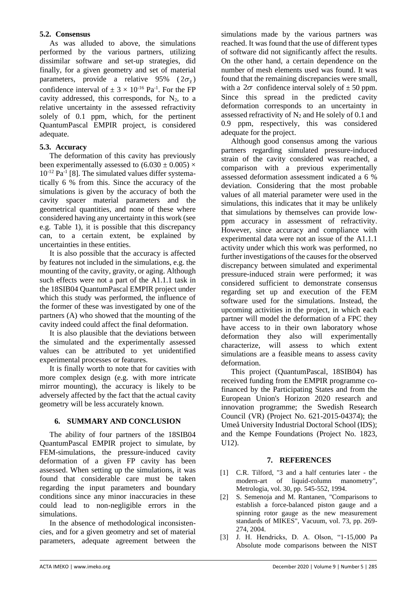## **5.2. Consensus**

As was alluded to above, the simulations performed by the various partners, utilizing dissimilar software and set-up strategies, did finally, for a given geometry and set of material parameters, provide a relative 95% ( $2\sigma_{\overline{x}}$ ) confidence interval of  $\pm 3 \times 10^{-16}$  Pa<sup>-1</sup>. For the FP cavity addressed, this corresponds, for  $N_2$ , to a relative uncertainty in the assessed refractivity solely of 0.1 ppm, which, for the pertinent QuantumPascal EMPIR project, is considered adequate.

## **5.3. Accuracy**

The deformation of this cavity has previously been experimentally assessed to  $(6.030 \pm 0.005) \times$  $10^{-12}$  Pa<sup>-1</sup> [8]. The simulated values differ systematically 6 % from this. Since the accuracy of the simulations is given by the accuracy of both the cavity spacer material parameters and the geometrical quantities, and none of these where considered having any uncertainty in this work (see e.g. Table 1), it is possible that this discrepancy can, to a certain extent, be explained by uncertainties in these entities.

It is also possible that the accuracy is affected by features not included in the simulations, e.g. the mounting of the cavity, gravity, or aging. Although such effects were not a part of the A1.1.1 task in the 18SIB04 QuantumPascal EMPIR project under which this study was performed, the influence of the former of these was investigated by one of the partners (A) who showed that the mounting of the cavity indeed could affect the final deformation.

It is also plausible that the deviations between the simulated and the experimentally assessed values can be attributed to yet unidentified experimental processes or features.

It is finally worth to note that for cavities with more complex design (e.g. with more intricate mirror mounting), the accuracy is likely to be adversely affected by the fact that the actual cavity geometry will be less accurately known.

## **6. SUMMARY AND CONCLUSION**

The ability of four partners of the 18SIB04 QuantumPascal EMPIR project to simulate, by FEM-simulations, the pressure-induced cavity deformation of a given FP cavity has been assessed. When setting up the simulations, it was found that considerable care must be taken regarding the input parameters and boundary conditions since any minor inaccuracies in these could lead to non-negligible errors in the simulations.

In the absence of methodological inconsistencies, and for a given geometry and set of material parameters, adequate agreement between the

simulations made by the various partners was reached. It was found that the use of different types of software did not significantly affect the results. On the other hand, a certain dependence on the number of mesh elements used was found. It was found that the remaining discrepancies were small, with a  $2\sigma$  confidence interval solely of  $\pm$  50 ppm. Since this spread in the predicted cavity deformation corresponds to an uncertainty in assessed refractivity of  $N_2$  and He solely of 0.1 and 0.9 ppm, respectively, this was considered adequate for the project.

Although good consensus among the various partners regarding simulated pressure-induced strain of the cavity considered was reached, a comparison with a previous experimentally assessed deformation assessment indicated a 6 % deviation. Considering that the most probable values of all material parameter were used in the simulations, this indicates that it may be unlikely that simulations by themselves can provide lowppm accuracy in assessment of refractivity. However, since accuracy and compliance with experimental data were not an issue of the A1.1.1 activity under which this work was performed, no further investigations of the causes for the observed discrepancy between simulated and experimental pressure-induced strain were performed; it was considered sufficient to demonstrate consensus regarding set up and execution of the FEM software used for the simulations. Instead, the upcoming activities in the project, in which each partner will model the deformation of a FPC they have access to in their own laboratory whose deformation they also will experimentally characterize, will assess to which extent simulations are a feasible means to assess cavity deformation.

This project (QuantumPascal, 18SIB04) has received funding from the EMPIR programme cofinanced by the Participating States and from the European Union's Horizon 2020 research and innovation programme; the Swedish Research Council (VR) (Project No. 621-2015-04374); the Umeå University Industrial Doctoral School (IDS); and the Kempe Foundations (Project No. 1823, U12).

## **7. REFERENCES**

- [1] C.R. Tilford, "3 and a half centuries later the modern-art of liquid-column manometry", Metrologia, vol. 30, pp. 545-552, 1994.
- [2] S. Semenoja and M. Rantanen, "Comparisons to establish a force-balanced piston gauge and a spinning rotor gauge as the new measurement standards of MIKES", Vacuum, vol. 73, pp. 269- 274, 2004.
- [3] J. H. Hendricks, D. A. Olson, "1-15,000 Pa Absolute mode comparisons between the NIST